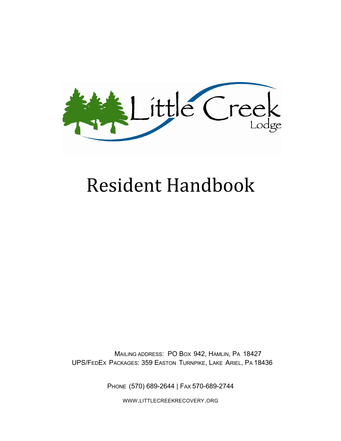

# Resident Handbook

MAILING ADDRESS: PO BOX 942, HAMLIN, PA 18427 UPS/FEDEX PACKAGES: 359 EASTON TURNPIKE, LAKE ARIEL, PA 18436

PHONE (570) 689-2644 | FAX 570-689-2744

WWW.LITTLECREEKRECOVERY.ORG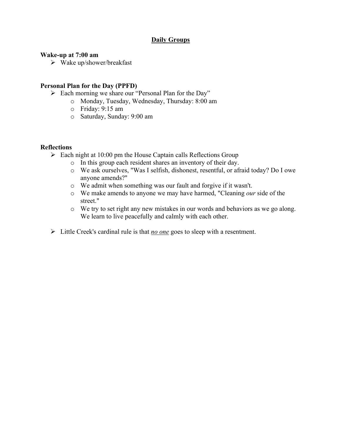# **Daily Groups**

#### **Wake-up at 7:00 am**

 $\triangleright$  Wake up/shower/breakfast

#### **Personal Plan for the Day (PPFD)**

- $\triangleright$  Each morning we share our "Personal Plan for the Day"
	- o Monday, Tuesday, Wednesday, Thursday: 8:00 am
	- o Friday: 9:15 am
	- o Saturday, Sunday: 9:00 am

#### **Reflections**

- $\triangleright$  Each night at 10:00 pm the House Captain calls Reflections Group
	- o In this group each resident shares an inventory of their day.
	- o We ask ourselves, "Was I selfish, dishonest, resentful, or afraid today? Do I owe anyone amends?"
	- o We admit when something was our fault and forgive if it wasn't.
	- o We make amends to anyone we may have harmed, "Cleaning *our* side of the street."
	- o We try to set right any new mistakes in our words and behaviors as we go along. We learn to live peacefully and calmly with each other.
- Ø Little Creek's cardinal rule is that *no one* goes to sleep with a resentment.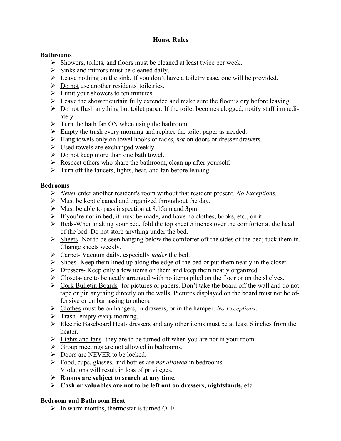# **House Rules**

# **Bathrooms**

- $\triangleright$  Showers, toilets, and floors must be cleaned at least twice per week.
- $\triangleright$  Sinks and mirrors must be cleaned daily.
- $\triangleright$  Leave nothing on the sink. If you don't have a toiletry case, one will be provided.
- $\triangleright$  Do not use another residents' toiletries.
- $\triangleright$  Limit your showers to ten minutes.
- $\triangleright$  Leave the shower curtain fully extended and make sure the floor is dry before leaving.
- $\triangleright$  Do not flush anything but toilet paper. If the toilet becomes clogged, notify staff immediately.
- $\triangleright$  Turn the bath fan ON when using the bathroom.
- $\triangleright$  Empty the trash every morning and replace the toilet paper as needed.
- Ø Hang towels only on towel hooks or racks, *not* on doors or dresser drawers.
- $\triangleright$  Used towels are exchanged weekly.
- $\triangleright$  Do not keep more than one bath towel.
- $\triangleright$  Respect others who share the bathroom, clean up after yourself.
- $\triangleright$  Turn off the faucets, lights, heat, and fan before leaving.

# **Bedrooms**

- Ø *Never* enter another resident's room without that resident present. *No Exceptions.*
- $\triangleright$  Must be kept cleaned and organized throughout the day.
- $\triangleright$  Must be able to pass inspection at 8:15am and 3pm.
- Ø If you're not in bed; it must be made, and have no clothes, books, etc., on it.
- $\triangleright$  Beds-When making your bed, fold the top sheet 5 inches over the comforter at the head of the bed. Do not store anything under the bed.
- $\triangleright$  Sheets- Not to be seen hanging below the comforter off the sides of the bed; tuck them in. Change sheets weekly.
- Ø Carpet- Vacuum daily, especially *under* the bed.
- $\triangleright$  Shoes-Keep them lined up along the edge of the bed or put them neatly in the closet.
- $\triangleright$  Dressers- Keep only a few items on them and keep them neatly organized.
- $\triangleright$  Closets- are to be neatly arranged with no items piled on the floor or on the shelves.
- $\triangleright$  Cork Bulletin Boards- for pictures or papers. Don't take the board off the wall and do not tape or pin anything directly on the walls. Pictures displayed on the board must not be offensive or embarrassing to others.
- Ø Clothes-must be on hangers, in drawers, or in the hamper. *No Exceptions*.
- Ø Trash- empty *every* morning.
- $\triangleright$  Electric Baseboard Heat- dressers and any other items must be at least 6 inches from the heater.
- $\triangleright$  Lights and fans-they are to be turned off when you are not in your room.
- $\triangleright$  Group meetings are not allowed in bedrooms.
- $\triangleright$  Doors are NEVER to be locked.
- Ø Food, cups, glasses, and bottles are *not allowed* in bedrooms. Violations will result in loss of privileges.
- Ø **Rooms are subject to search at any time.**
- Ø **Cash or valuables are not to be left out on dressers, nightstands, etc.**

# **Bedroom and Bathroom Heat**

 $\triangleright$  In warm months, thermostat is turned OFF.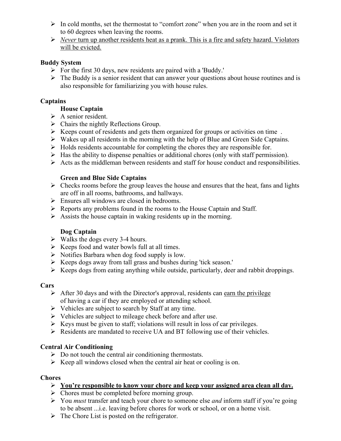- $\triangleright$  In cold months, set the thermostat to "comfort zone" when you are in the room and set it to 60 degrees when leaving the rooms.
- Ø *Never* turn up another residents heat as a prank. This is a fire and safety hazard. Violators will be evicted.

# **Buddy System**

- $\triangleright$  For the first 30 days, new residents are paired with a 'Buddy.'
- $\triangleright$  The Buddy is a senior resident that can answer your questions about house routines and is also responsible for familiarizing you with house rules.

# **Captains**

# **House Captain**

- $\triangleright$  A senior resident.
- $\triangleright$  Chairs the nightly Reflections Group.
- $\triangleright$  Keeps count of residents and gets them organized for groups or activities on time.
- $\triangleright$  Wakes up all residents in the morning with the help of Blue and Green Side Captains.
- $\triangleright$  Holds residents accountable for completing the chores they are responsible for.
- $\triangleright$  Has the ability to dispense penalties or additional chores (only with staff permission).
- $\triangleright$  Acts as the middleman between residents and staff for house conduct and responsibilities.

# **Green and Blue Side Captains**

- $\triangleright$  Checks rooms before the group leaves the house and ensures that the heat, fans and lights are off in all rooms, bathrooms, and hallways.
- $\triangleright$  Ensures all windows are closed in bedrooms.
- $\triangleright$  Reports any problems found in the rooms to the House Captain and Staff.
- $\triangleright$  Assists the house captain in waking residents up in the morning.

# **Dog Captain**

- $\triangleright$  Walks the dogs every 3-4 hours.
- $\triangleright$  Keeps food and water bowls full at all times.
- $\triangleright$  Notifies Barbara when dog food supply is low.
- $\triangleright$  Keeps dogs away from tall grass and bushes during 'tick season.'
- $\triangleright$  Keeps dogs from eating anything while outside, particularly, deer and rabbit droppings.

# **Cars**

- $\triangleright$  After 30 days and with the Director's approval, residents can earn the privilege of having a car if they are employed or attending school.
- $\triangleright$  Vehicles are subject to search by Staff at any time.
- Ø Vehicles are subject to mileage check before and after use.
- $\triangleright$  Keys must be given to staff; violations will result in loss of car privileges.
- $\triangleright$  Residents are mandated to receive UA and BT following use of their vehicles.

# **Central Air Conditioning**

- $\triangleright$  Do not touch the central air conditioning thermostats.
- $\triangleright$  Keep all windows closed when the central air heat or cooling is on.

# **Chores**

- Ø **You're responsible to know your chore and keep your assigned area clean all day.**
- $\triangleright$  Chores must be completed before morning group.
- Ø You *must* transfer and teach your chore to someone else *and* inform staff if you're going to be absent ...i.e. leaving before chores for work or school, or on a home visit.
- $\triangleright$  The Chore List is posted on the refrigerator.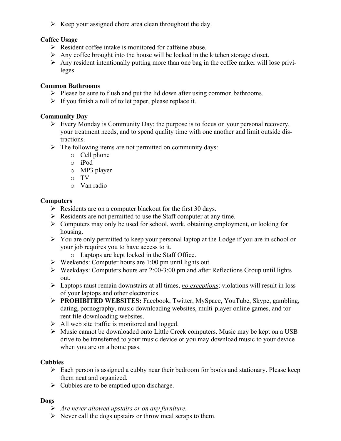$\triangleright$  Keep your assigned chore area clean throughout the day.

# **Coffee Usage**

- $\triangleright$  Resident coffee intake is monitored for caffeine abuse.
- $\triangleright$  Any coffee brought into the house will be locked in the kitchen storage closet.
- $\triangleright$  Any resident intentionally putting more than one bag in the coffee maker will lose privileges.

# **Common Bathrooms**

- $\triangleright$  Please be sure to flush and put the lid down after using common bathrooms.
- $\triangleright$  If you finish a roll of toilet paper, please replace it.

# **Community Day**

- $\triangleright$  Every Monday is Community Day; the purpose is to focus on your personal recovery, your treatment needs, and to spend quality time with one another and limit outside distractions.
- $\triangleright$  The following items are not permitted on community days:
	- o Cell phone
	- o iPod
	- o MP3 player
	- o TV
	- o Van radio

# **Computers**

- $\triangleright$  Residents are on a computer blackout for the first 30 days.
- $\triangleright$  Residents are not permitted to use the Staff computer at any time.
- $\triangleright$  Computers may only be used for school, work, obtaining employment, or looking for housing.
- $\triangleright$  You are only permitted to keep your personal laptop at the Lodge if you are in school or your job requires you to have access to it.
	- o Laptops are kept locked in the Staff Office.
- $\triangleright$  Weekends: Computer hours are 1:00 pm until lights out.
- $\triangleright$  Weekdays: Computers hours are 2:00-3:00 pm and after Reflections Group until lights out.
- Ø Laptops must remain downstairs at all times, *no exceptions*; violations will result in loss of your laptops and other electronics.
- Ø **PROHIBITED WEBSITES:** Facebook, Twitter, MySpace, YouTube, Skype, gambling, dating, pornography, music downloading websites, multi-player online games, and torrent file downloading websites.
- $\triangleright$  All web site traffic is monitored and logged.
- Ø Music cannot be downloaded onto Little Creek computers. Music may be kept on a USB drive to be transferred to your music device or you may download music to your device when you are on a home pass.

# **Cubbies**

- $\triangleright$  Each person is assigned a cubby near their bedroom for books and stationary. Please keep them neat and organized.
- $\triangleright$  Cubbies are to be emptied upon discharge.

# **Dogs**

- Ø *Are never allowed upstairs or on any furniture.*
- $\triangleright$  Never call the dogs upstairs or throw meal scraps to them.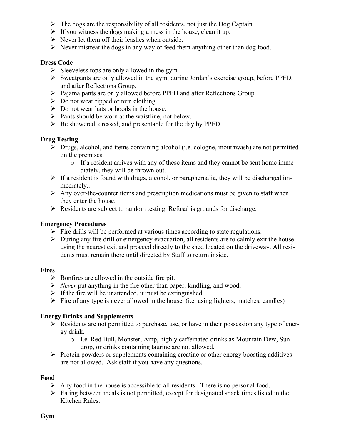- $\triangleright$  The dogs are the responsibility of all residents, not just the Dog Captain.
- $\triangleright$  If you witness the dogs making a mess in the house, clean it up.
- $\triangleright$  Never let them off their leashes when outside.
- $\triangleright$  Never mistreat the dogs in any way or feed them anything other than dog food.

#### **Dress Code**

- $\triangleright$  Sleeveless tops are only allowed in the gym.
- Ø Sweatpants are only allowed in the gym, during Jordan's exercise group, before PPFD, and after Reflections Group.
- Ø Pajama pants are only allowed before PPFD and after Reflections Group.
- $\triangleright$  Do not wear ripped or torn clothing.
- $\triangleright$  Do not wear hats or hoods in the house.
- $\triangleright$  Pants should be worn at the waistline, not below.
- $\triangleright$  Be showered, dressed, and presentable for the day by PPFD.

### **Drug Testing**

- $\triangleright$  Drugs, alcohol, and items containing alcohol (i.e. cologne, mouthwash) are not permitted on the premises.
	- o If a resident arrives with any of these items and they cannot be sent home immediately, they will be thrown out.
- $\triangleright$  If a resident is found with drugs, alcohol, or paraphernalia, they will be discharged immediately..
- $\triangleright$  Any over-the-counter items and prescription medications must be given to staff when they enter the house.
- $\triangleright$  Residents are subject to random testing. Refusal is grounds for discharge.

#### **Emergency Procedures**

- $\triangleright$  Fire drills will be performed at various times according to state regulations.
- $\triangleright$  During any fire drill or emergency evacuation, all residents are to calmly exit the house using the nearest exit and proceed directly to the shed located on the driveway. All residents must remain there until directed by Staff to return inside.

#### **Fires**

- $\triangleright$  Bonfires are allowed in the outside fire pit.
- Ø *Never* put anything in the fire other than paper, kindling, and wood.
- $\triangleright$  If the fire will be unattended, it must be extinguished.
- $\triangleright$  Fire of any type is never allowed in the house. (i.e. using lighters, matches, candles)

#### **Energy Drinks and Supplements**

- $\triangleright$  Residents are not permitted to purchase, use, or have in their possession any type of energy drink.
	- o I.e. Red Bull, Monster, Amp, highly caffeinated drinks as Mountain Dew, Sundrop, or drinks containing taurine are not allowed.
- $\triangleright$  Protein powders or supplements containing creatine or other energy boosting additives are not allowed. Ask staff if you have any questions.

#### **Food**

- $\triangleright$  Any food in the house is accessible to all residents. There is no personal food.
- $\triangleright$  Eating between meals is not permitted, except for designated snack times listed in the Kitchen Rules.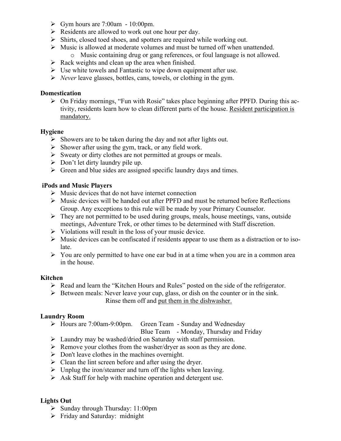- $\triangleright$  Gym hours are 7:00am 10:00pm.
- $\triangleright$  Residents are allowed to work out one hour per day.
- $\triangleright$  Shirts, closed toed shoes, and spotters are required while working out.
- $\triangleright$  Music is allowed at moderate volumes and must be turned off when unattended.
	- o Music containing drug or gang references, or foul language is not allowed.
- $\triangleright$  Rack weights and clean up the area when finished.
- $\triangleright$  Use white towels and Fantastic to wipe down equipment after use.
- Ø *Never* leave glasses, bottles, cans, towels, or clothing in the gym.

# **Domestication**

 $\triangleright$  On Friday mornings, "Fun with Rosie" takes place beginning after PPFD. During this activity, residents learn how to clean different parts of the house. Resident participation is mandatory.

# **Hygiene**

- $\triangleright$  Showers are to be taken during the day and not after lights out.
- $\triangleright$  Shower after using the gym, track, or any field work.
- $\triangleright$  Sweaty or dirty clothes are not permitted at groups or meals.
- $\triangleright$  Don't let dirty laundry pile up.
- $\triangleright$  Green and blue sides are assigned specific laundry days and times.

# **iPods and Music Players**

- $\triangleright$  Music devices that do not have internet connection
- $\triangleright$  Music devices will be handed out after PPFD and must be returned before Reflections Group. Any exceptions to this rule will be made by your Primary Counselor.
- $\triangleright$  They are not permitted to be used during groups, meals, house meetings, vans, outside meetings, Adventure Trek, or other times to be determined with Staff discretion.
- $\triangleright$  Violations will result in the loss of your music device.
- $\triangleright$  Music devices can be confiscated if residents appear to use them as a distraction or to isolate.
- $\triangleright$  You are only permitted to have one ear bud in at a time when you are in a common area in the house.

# **Kitchen**

- $\triangleright$  Read and learn the "Kitchen Hours and Rules" posted on the side of the refrigerator.
- $\triangleright$  Between meals: Never leave your cup, glass, or dish on the counter or in the sink. Rinse them off and put them in the dishwasher.

# **Laundry Room**

Ø Hours are 7:00am-9:00pm. Green Team - Sunday and Wednesday

Blue Team - Monday, Thursday and Friday

- $\triangleright$  Laundry may be washed/dried on Saturday with staff permission.
- $\triangleright$  Remove your clothes from the washer/dryer as soon as they are done.
- $\triangleright$  Don't leave clothes in the machines overnight.
- $\triangleright$  Clean the lint screen before and after using the dryer.
- $\triangleright$  Unplug the iron/steamer and turn off the lights when leaving.
- $\triangleright$  Ask Staff for help with machine operation and detergent use.

# **Lights Out**

- $\triangleright$  Sunday through Thursday: 11:00pm
- $\triangleright$  Friday and Saturday: midnight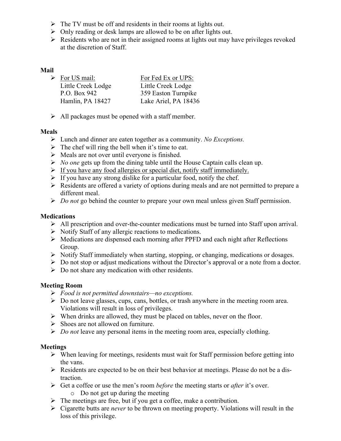- $\triangleright$  The TV must be off and residents in their rooms at lights out.
- $\triangleright$  Only reading or desk lamps are allowed to be on after lights out.
- $\triangleright$  Residents who are not in their assigned rooms at lights out may have privileges revoked at the discretion of Staff.

# **Mail**

| $\triangleright$ For US mail: | For Fed Ex or UPS:   |
|-------------------------------|----------------------|
| Little Creek Lodge            | Little Creek Lodge   |
| P.O. Box 942                  | 359 Easton Turnpike  |
| Hamlin, PA 18427              | Lake Ariel, PA 18436 |

 $\triangleright$  All packages must be opened with a staff member.

# **Meals**

- Ø Lunch and dinner are eaten together as a community. *No Exceptions.*
- $\triangleright$  The chef will ring the bell when it's time to eat.
- $\triangleright$  Meals are not over until everyone is finished.
- Ø *No one* gets up from the dining table until the House Captain calls clean up.
- $\triangleright$  If you have any food allergies or special diet, notify staff immediately.
- $\triangleright$  If you have any strong dislike for a particular food, notify the chef.
- $\triangleright$  Residents are offered a variety of options during meals and are not permitted to prepare a different meal.
- Ø *Do not* go behind the counter to prepare your own meal unless given Staff permission.

# **Medications**

- $\triangleright$  All prescription and over-the-counter medications must be turned into Staff upon arrival.
- $\triangleright$  Notify Staff of any allergic reactions to medications.
- $\triangleright$  Medications are dispensed each morning after PPFD and each night after Reflections Group.
- Ø Notify Staff immediately when starting, stopping, or changing, medications or dosages.
- $\triangleright$  Do not stop or adjust medications without the Director's approval or a note from a doctor.
- $\triangleright$  Do not share any medication with other residents.

# **Meeting Room**

- Ø *Food is not permitted downstairs—no exceptions.*
- $\triangleright$  Do not leave glasses, cups, cans, bottles, or trash anywhere in the meeting room area. Violations will result in loss of privileges.
- $\triangleright$  When drinks are allowed, they must be placed on tables, never on the floor.
- $\triangleright$  Shoes are not allowed on furniture.
- Ø *Do not* leave any personal items in the meeting room area, especially clothing.

# **Meetings**

- $\triangleright$  When leaving for meetings, residents must wait for Staff permission before getting into the vans.
- $\triangleright$  Residents are expected to be on their best behavior at meetings. Please do not be a distraction.
- Ø Get a coffee or use the men's room *before* the meeting starts or *after* it's over. o Do not get up during the meeting
- $\triangleright$  The meetings are free, but if you get a coffee, make a contribution.
- Ø Cigarette butts are *never* to be thrown on meeting property. Violations will result in the loss of this privilege.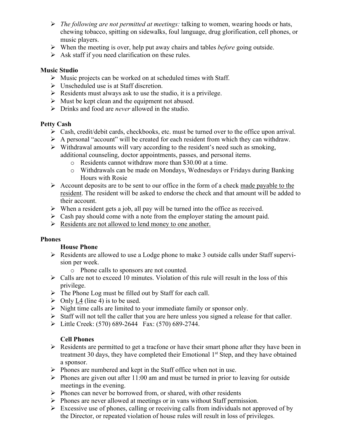- Ø *The following are not permitted at meetings:* talking to women, wearing hoods or hats, chewing tobacco, spitting on sidewalks, foul language, drug glorification, cell phones, or music players.
- Ø When the meeting is over, help put away chairs and tables *before* going outside.
- $\triangleright$  Ask staff if you need clarification on these rules.

# **Music Studio**

- $\triangleright$  Music projects can be worked on at scheduled times with Staff.
- $\triangleright$  Unscheduled use is at Staff discretion.
- $\triangleright$  Residents must always ask to use the studio, it is a privilege.
- $\triangleright$  Must be kept clean and the equipment not abused.
- Ø Drinks and food are *never* allowed in the studio.

# **Petty Cash**

- $\triangleright$  Cash, credit/debit cards, checkbooks, etc. must be turned over to the office upon arrival.
- $\triangleright$  A personal "account" will be created for each resident from which they can withdraw.
- $\triangleright$  Withdrawal amounts will vary according to the resident's need such as smoking, additional counseling, doctor appointments, passes, and personal items.
	- o Residents cannot withdraw more than \$30.00 at a time.
	- o Withdrawals can be made on Mondays, Wednesdays or Fridays during Banking Hours with Rosie
- $\triangleright$  Account deposits are to be sent to our office in the form of a check made payable to the resident. The resident will be asked to endorse the check and that amount will be added to their account.
- $\triangleright$  When a resident gets a job, all pay will be turned into the office as received.
- $\triangleright$  Cash pay should come with a note from the employer stating the amount paid.
- $\triangleright$  Residents are not allowed to lend money to one another.

# **Phones**

# **House Phone**

- Ø Residents are allowed to use a Lodge phone to make 3 outside calls under Staff supervision per week.
	- o Phone calls to sponsors are not counted.
- $\triangleright$  Calls are not to exceed 10 minutes. Violation of this rule will result in the loss of this privilege.
- $\triangleright$  The Phone Log must be filled out by Staff for each call.
- $\triangleright$  Only L4 (line 4) is to be used.
- $\triangleright$  Night time calls are limited to your immediate family or sponsor only.
- $\triangleright$  Staff will not tell the caller that you are here unless you signed a release for that caller.
- Ø Little Creek: (570) 689-2644 Fax: (570) 689-2744.

# **Cell Phones**

- $\triangleright$  Residents are permitted to get a tracfone or have their smart phone after they have been in treatment 30 days, they have completed their Emotional 1<sup>st</sup> Step, and they have obtained a sponsor.
- $\triangleright$  Phones are numbered and kept in the Staff office when not in use.
- $\triangleright$  Phones are given out after 11:00 am and must be turned in prior to leaving for outside meetings in the evening.
- $\triangleright$  Phones can never be borrowed from, or shared, with other residents
- $\triangleright$  Phones are never allowed at meetings or in vans without Staff permission.
- $\triangleright$  Excessive use of phones, calling or receiving calls from individuals not approved of by the Director, or repeated violation of house rules will result in loss of privileges.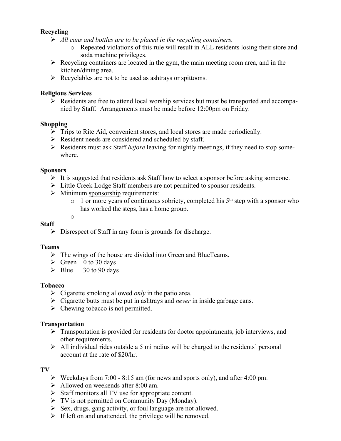# **Recycling**

- Ø *All cans and bottles are to be placed in the recycling containers.* 
	- o Repeated violations of this rule will result in ALL residents losing their store and soda machine privileges.
- $\triangleright$  Recycling containers are located in the gym, the main meeting room area, and in the kitchen/dining area.
- $\triangleright$  Recyclables are not to be used as ashtrays or spittoons.

#### **Religious Services**

 $\triangleright$  Residents are free to attend local worship services but must be transported and accompanied by Staff. Arrangements must be made before 12:00pm on Friday.

### **Shopping**

- $\triangleright$  Trips to Rite Aid, convenient stores, and local stores are made periodically.
- $\triangleright$  Resident needs are considered and scheduled by staff.
- Ø Residents must ask Staff *before* leaving for nightly meetings, if they need to stop somewhere.

#### **Sponsors**

- $\triangleright$  It is suggested that residents ask Staff how to select a sponsor before asking someone.
- Ø Little Creek Lodge Staff members are not permitted to sponsor residents.
- $\triangleright$  Minimum sponsorship requirements:
	- $\circ$  1 or more years of continuous sobriety, completed his 5<sup>th</sup> step with a sponsor who has worked the steps, has a home group.

o

#### **Staff**

 $\triangleright$  Disrespect of Staff in any form is grounds for discharge.

#### **Teams**

- $\triangleright$  The wings of the house are divided into Green and BlueTeams.
- $\triangleright$  Green 0 to 30 days
- $\triangleright$  Blue 30 to 90 days

#### **Tobacco**

- $\triangleright$  Cigarette smoking allowed *only* in the patio area.
- Ø Cigarette butts must be put in ashtrays and *never* in inside garbage cans.
- $\triangleright$  Chewing tobacco is not permitted.

#### **Transportation**

- $\triangleright$  Transportation is provided for residents for doctor appointments, job interviews, and other requirements.
- $\triangleright$  All individual rides outside a 5 mi radius will be charged to the residents' personal account at the rate of \$20/hr.

#### **TV**

- $\triangleright$  Weekdays from 7:00 8:15 am (for news and sports only), and after 4:00 pm.
- $\blacktriangleright$  Allowed on weekends after 8:00 am.
- $\triangleright$  Staff monitors all TV use for appropriate content.
- $\triangleright$  TV is not permitted on Community Day (Monday).
- $\triangleright$  Sex, drugs, gang activity, or foul language are not allowed.
- $\triangleright$  If left on and unattended, the privilege will be removed.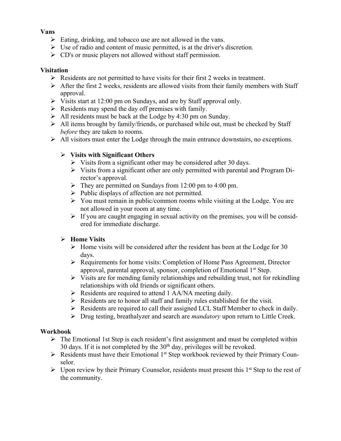# **Vans**

- $\triangleright$  Eating, drinking, and tobacco use are not allowed in the vans.
- $\triangleright$  Use of radio and content of music permitted, is at the driver's discretion.
- $\triangleright$  CD's or music players not allowed without staff permission.

# **Visitation**

- $\triangleright$  Residents are not permitted to have visits for their first 2 weeks in treatment.
- $\triangleright$  After the first 2 weeks, residents are allowed visits from their family members with Staff approval.
- $\triangleright$  Visits start at 12:00 pm on Sundays, and are by Staff approval only.
- $\triangleright$  Residents may spend the day off premises with family.
- $\triangleright$  All residents must be back at the Lodge by 4:30 pm on Sunday.
- $\triangleright$  All items brought by family/friends, or purchased while out, must be checked by Staff *before* they are taken to rooms.
- $\triangleright$  All visitors must enter the Lodge through the main entrance downstairs, no exceptions.

# Ø **Visits with Significant Others**

- $\triangleright$  Visits from a significant other may be considered after 30 days.
- $\triangleright$  Visits from a significant other are only permitted with parental and Program Director's approval.
- $\blacktriangleright$  They are permitted on Sundays from 12:00 pm to 4:00 pm.
- $\triangleright$  Public displays of affection are not permitted.
- Ø You must remain in public/common rooms while visiting at the Lodge. You are not allowed in your room at any time.
- $\triangleright$  If you are caught engaging in sexual activity on the premises, you will be considered for immediate discharge.

# Ø **Home Visits**

- $\triangleright$  Home visits will be considered after the resident has been at the Lodge for 30 days.
- Ø Requirements for home visits: Completion of Home Pass Agreement, Director approval, parental approval, sponsor, completion of Emotional 1<sup>st</sup> Step.
- $\triangleright$  Visits are for mending family relationships and rebuilding trust, not for rekindling relationships with old friends or significant others.
- $\triangleright$  Residents are required to attend 1 AA/NA meeting daily.
- $\triangleright$  Residents are to honor all staff and family rules established for the visit.
- $\triangleright$  Residents are required to call their assigned LCL Staff Member to check in daily.
- Ø Drug testing, breathalyzer and search are *mandatory* upon return to Little Creek.

# **Workbook**

- $\triangleright$  The Emotional 1st Step is each resident's first assignment and must be completed within 30 days. If it is not completed by the  $30<sup>th</sup>$  day, privileges will be revoked.
- $\triangleright$  Residents must have their Emotional 1<sup>st</sup> Step workbook reviewed by their Primary Counselor.
- $\triangleright$  Upon review by their Primary Counselor, residents must present this 1<sup>st</sup> Step to the rest of the community.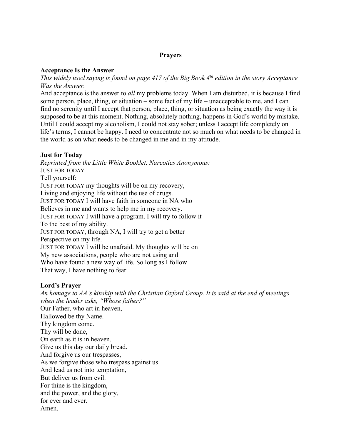### **Prayers**

#### **Acceptance Is the Answer**

*This widely used saying is found on page 417 of the Big Book 4th edition in the story Acceptance Was the Answer.* 

And acceptance is the answer to *all* my problems today. When I am disturbed, it is because I find some person, place, thing, or situation – some fact of my life – unacceptable to me, and I can find no serenity until I accept that person, place, thing, or situation as being exactly the way it is supposed to be at this moment. Nothing, absolutely nothing, happens in God's world by mistake. Until I could accept my alcoholism, I could not stay sober; unless I accept life completely on life's terms, I cannot be happy. I need to concentrate not so much on what needs to be changed in the world as on what needs to be changed in me and in my attitude.

### **Just for Today**

*Reprinted from the Little White Booklet, Narcotics Anonymous:* JUST FOR TODAY Tell yourself: JUST FOR TODAY my thoughts will be on my recovery, Living and enjoying life without the use of drugs. JUST FOR TODAY I will have faith in someone in NA who Believes in me and wants to help me in my recovery. JUST FOR TODAY I will have a program. I will try to follow it To the best of my ability. JUST FOR TODAY, through NA, I will try to get a better Perspective on my life. JUST FOR TODAY I will be unafraid. My thoughts will be on My new associations, people who are not using and Who have found a new way of life. So long as I follow That way, I have nothing to fear.

#### **Lord's Prayer**

*An homage to AA's kinship with the Christian Oxford Group. It is said at the end of meetings when the leader asks, "Whose father?"* Our Father, who art in heaven, Hallowed be thy Name. Thy kingdom come. Thy will be done, On earth as it is in heaven. Give us this day our daily bread. And forgive us our trespasses, As we forgive those who trespass against us. And lead us not into temptation, But deliver us from evil. For thine is the kingdom, and the power, and the glory, for ever and ever. Amen.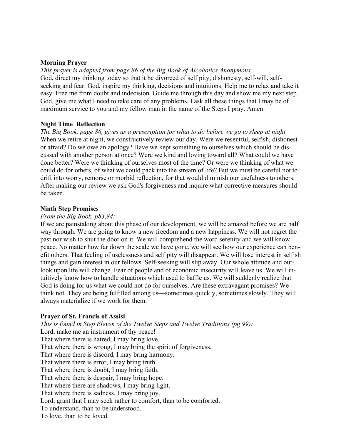#### **Morning Prayer**

*This prayer is adapted from page 86 of the Big Book of Alcoholics Anonymous:* God, direct my thinking today so that it be divorced of self pity, dishonesty, self-will, selfseeking and fear. God, inspire my thinking, decisions and intuitions. Help me to relax and take it easy. Free me from doubt and indecision. Guide me through this day and show me my next step. God, give me what I need to take care of any problems. I ask all these things that I may be of maximum service to you and my fellow man in the name of the Steps I pray. Amen.

#### **Night Time Reflection**

*The Big Book, page 86, gives us a prescription for what to do before we go to sleep at night.* When we retire at night, we constructively review our day. Were we resentful, selfish, dishonest or afraid? Do we owe an apology? Have we kept something to ourselves which should be discussed with another person at once? Were we kind and loving toward all? What could we have done better? Were we thinking of ourselves most of the time? Or were we thinking of what we could do for others, of what we could pack into the stream of life? But we must be careful not to drift into worry, remorse or morbid reflection, for that would diminish our usefulness to others. After making our review we ask God's forgiveness and inquire what corrective measures should be taken.

#### **Ninth Step Promises**

#### *From the Big Book, p83,84:*

If we are painstaking about this phase of our development, we will be amazed before we are half way through. We are going to know a new freedom and a new happiness. We will not regret the past nor wish to shut the door on it. We will comprehend the word serenity and we will know peace. No matter how far down the scale we have gone, we will see how our experience can benefit others. That feeling of uselessness and self pity will disappear. We will lose interest in selfish things and gain interest in our fellows. Self-seeking will slip away. Our whole attitude and outlook upon life will change. Fear of people and of economic insecurity will leave us. We will intuitively know how to handle situations which used to baffle us. We will suddenly realize that God is doing for us what we could not do for ourselves. Are these extravagant promises? We think not. They are being fulfilled among us—sometimes quickly, sometimes slowly. They will always materialize if we work for them.

#### **Prayer of St. Francis of Assisi**

*This is found in Step Eleven of the Twelve Steps and Twelve Traditions (pg 99):* Lord, make me an instrument of thy peace! That where there is hatred, I may bring love. That where there is wrong, I may bring the spirit of forgiveness. That where there is discord, I may bring harmony. That where there is error, I may bring truth. That where there is doubt, I may bring faith. That where there is despair, I may bring hope. That where there are shadows, I may bring light. That where there is sadness, I may bring joy. Lord, grant that I may seek rather to comfort, than to be comforted. To understand, than to be understood. To love, than to be loved.